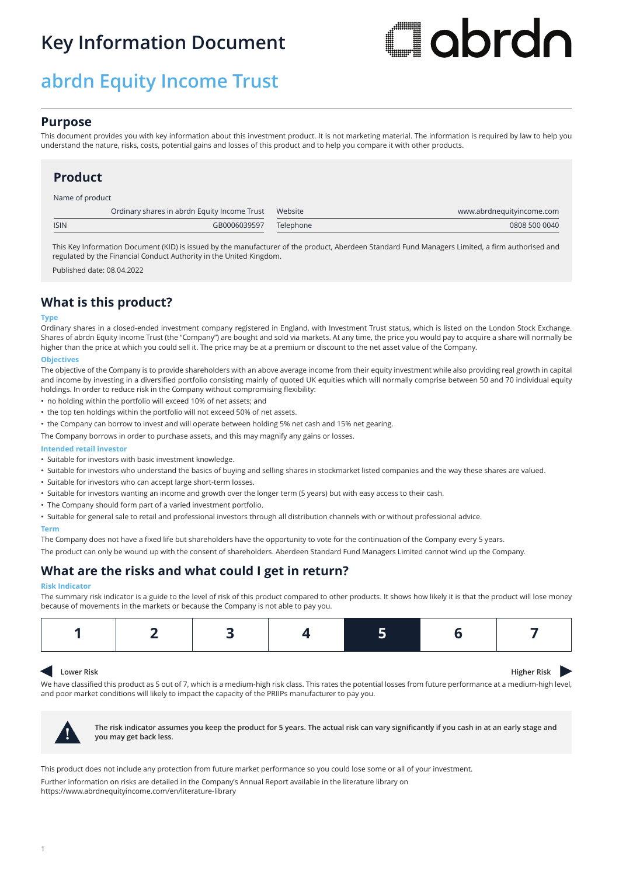# **Key Information Document**

# **abrdn Equity Income Trust**

# **Flabrdn**

# **Purpose**

This document provides you with key information about this investment product. It is not marketing material. The information is required by law to help you understand the nature, risks, costs, potential gains and losses of this product and to help you compare it with other products.

# **Product**

## Name of product

|             | Ordinary shares in abrdn Equity Income Trust Website |           | www.abrdnequityincome.com |
|-------------|------------------------------------------------------|-----------|---------------------------|
| <b>ISIN</b> | GB0006039597                                         | Telephone | 0808 500 0040             |
|             |                                                      |           |                           |

This Key Information Document (KID) is issued by the manufacturer of the product, Aberdeen Standard Fund Managers Limited, a firm authorised and regulated by the Financial Conduct Authority in the United Kingdom.

Published date: 08.04.2022

# **What is this product?**

## **Type**

Ordinary shares in a closed-ended investment company registered in England, with Investment Trust status, which is listed on the London Stock Exchange. Shares of abrdn Equity Income Trust (the "Company") are bought and sold via markets. At any time, the price you would pay to acquire a share will normally be higher than the price at which you could sell it. The price may be at a premium or discount to the net asset value of the Company.

## **Objectives**

The objective of the Company is to provide shareholders with an above average income from their equity investment while also providing real growth in capital and income by investing in a diversified portfolio consisting mainly of quoted UK equities which will normally comprise between 50 and 70 individual equity holdings. In order to reduce risk in the Company without compromising flexibility:

- no holding within the portfolio will exceed 10% of net assets; and
- the top ten holdings within the portfolio will not exceed 50% of net assets.
- the Company can borrow to invest and will operate between holding 5% net cash and 15% net gearing.

The Company borrows in order to purchase assets, and this may magnify any gains or losses.

## **Intended retail investor**

- Suitable for investors with basic investment knowledge.
- Suitable for investors who understand the basics of buying and selling shares in stockmarket listed companies and the way these shares are valued.
- Suitable for investors who can accept large short-term losses.
- Suitable for investors wanting an income and growth over the longer term (5 years) but with easy access to their cash.
- The Company should form part of a varied investment portfolio.
- Suitable for general sale to retail and professional investors through all distribution channels with or without professional advice.

## **Term**

The Company does not have a fixed life but shareholders have the opportunity to vote for the continuation of the Company every 5 years.

The product can only be wound up with the consent of shareholders. Aberdeen Standard Fund Managers Limited cannot wind up the Company.

# **What are the risks and what could I get in return?**

## **Risk Indicator**

The summary risk indicator is a guide to the level of risk of this product compared to other products. It shows how likely it is that the product will lose money because of movements in the markets or because the Company is not able to pay you.

|--|--|

#### $\blacktriangleleft$ **Lower Risk Higher Risk Higher Risk**

We have classified this product as 5 out of 7, which is a medium-high risk class. This rates the potential losses from future performance at a medium-high level, and poor market conditions will likely to impact the capacity of the PRIIPs manufacturer to pay you.



**! The risk indicator assumes you keep the product for 5 years. The actual risk can vary significantly if you cash in at an early stage and you may get back less.**

This product does not include any protection from future market performance so you could lose some or all of your investment.

Further information on risks are detailed in the Company's Annual Report available in the literature library on https://www.abrdnequityincome.com/en/literature-library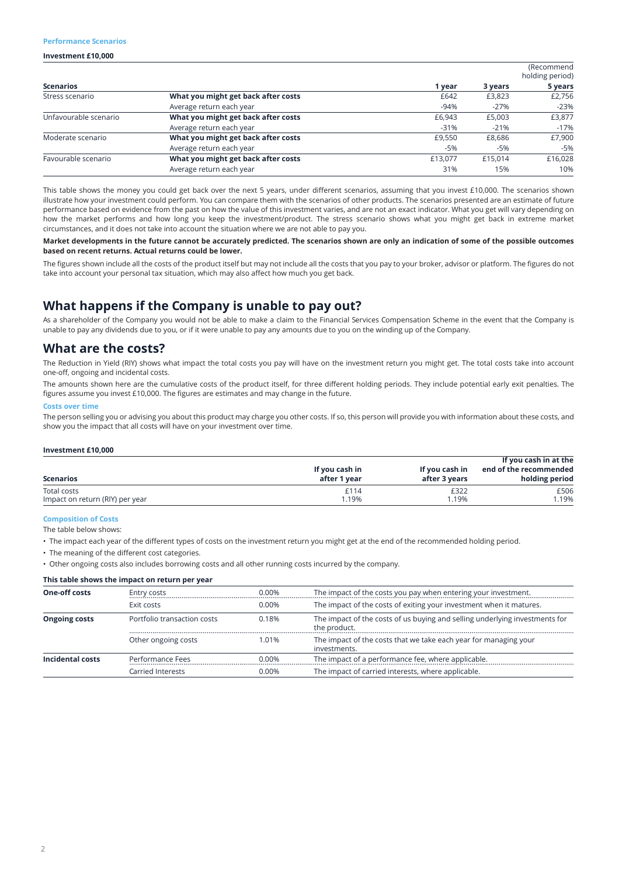## **Performance Scenarios**

## **Investment £10,000**

|                       |                                     |         |         | (Recommend<br>holding period) |
|-----------------------|-------------------------------------|---------|---------|-------------------------------|
| <b>Scenarios</b>      |                                     | 1 year  | 3 years | 5 years                       |
| Stress scenario       | What you might get back after costs | £642    | £3,823  | £2,756                        |
|                       | Average return each year            | $-94%$  | $-27%$  | $-23%$                        |
| Unfavourable scenario | What you might get back after costs | £6,943  | £5,003  | £3,877                        |
|                       | Average return each year            | $-31%$  | $-21%$  | $-17%$                        |
| Moderate scenario     | What you might get back after costs | £9.550  | £8,686  | £7,900                        |
|                       | Average return each year            | $-5%$   | -5%     | $-5%$                         |
| Favourable scenario   | What you might get back after costs | £13,077 | £15.014 | £16,028                       |
|                       | Average return each year            | 31%     | 15%     | 10%                           |

This table shows the money you could get back over the next 5 years, under different scenarios, assuming that you invest £10,000. The scenarios shown illustrate how your investment could perform. You can compare them with the scenarios of other products. The scenarios presented are an estimate of future performance based on evidence from the past on how the value of this investment varies, and are not an exact indicator. What you get will vary depending on how the market performs and how long you keep the investment/product. The stress scenario shows what you might get back in extreme market circumstances, and it does not take into account the situation where we are not able to pay you.

**Market developments in the future cannot be accurately predicted. The scenarios shown are only an indication of some of the possible outcomes based on recent returns. Actual returns could be lower.**

The figures shown include all the costs of the product itself but may not include all the costs that you pay to your broker, advisor or platform. The figures do not take into account your personal tax situation, which may also affect how much you get back.

# **What happens if the Company is unable to pay out?**

As a shareholder of the Company you would not be able to make a claim to the Financial Services Compensation Scheme in the event that the Company is unable to pay any dividends due to you, or if it were unable to pay any amounts due to you on the winding up of the Company.

# **What are the costs?**

The Reduction in Yield (RIY) shows what impact the total costs you pay will have on the investment return you might get. The total costs take into account one-off, ongoing and incidental costs.

The amounts shown here are the cumulative costs of the product itself, for three different holding periods. They include potential early exit penalties. The figures assume you invest £10,000. The figures are estimates and may change in the future.

## **Costs over time**

The person selling you or advising you about this product may charge you other costs. If so, this person will provide you with information about these costs, and show you the impact that all costs will have on your investment over time.

## **Investment £10,000**

| <b>Scenarios</b>                | If you cash in<br>after 1 year | If you cash in<br>after 3 years | If you cash in at the<br>end of the recommended<br>holding period |
|---------------------------------|--------------------------------|---------------------------------|-------------------------------------------------------------------|
| Total costs                     | £114                           | £322                            | £506                                                              |
| Impact on return (RIY) per year | .19%                           | .19%                            | 1.19%                                                             |

## **Composition of Costs**

The table below shows:

• The impact each year of the different types of costs on the investment return you might get at the end of the recommended holding period.

• The meaning of the different cost categories.

• Other ongoing costs also includes borrowing costs and all other running costs incurred by the company.

### **This table shows the impact on return per year**

| <b>One-off costs</b> | Entry costs                 | 0.00% | The impact of the costs you pay when entering your investment.                              |
|----------------------|-----------------------------|-------|---------------------------------------------------------------------------------------------|
|                      | Exit costs                  | 0.00% | The impact of the costs of exiting your investment when it matures.                         |
| <b>Ongoing costs</b> | Portfolio transaction costs | 0.18% | The impact of the costs of us buying and selling underlying investments for<br>the product. |
|                      | Other ongoing costs         | 1.01% | The impact of the costs that we take each year for managing your<br>investments.            |
| Incidental costs     | Performance Fees            | 0.00% | The impact of a performance fee, where applicable.                                          |
|                      | Carried Interests           | 0.00% | The impact of carried interests, where applicable.                                          |